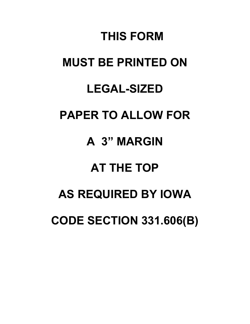# **THIS FORM MUST BE PRINTED ON LEGAL-SIZED PAPER TO ALLOW FOR A 3" MARGIN AT THE TOP AS REQUIRED BY IOWA CODE SECTION 331.606(B)**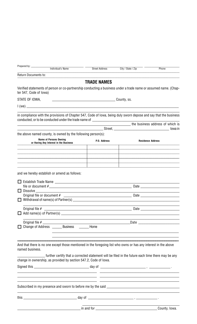|        | <b>Individual's Name</b>                                                                                                                   | <b>Street Address</b>                                                                              | City / State / Zip                                          | Phone                    |  |
|--------|--------------------------------------------------------------------------------------------------------------------------------------------|----------------------------------------------------------------------------------------------------|-------------------------------------------------------------|--------------------------|--|
|        | <b>Return Documents to:</b>                                                                                                                |                                                                                                    |                                                             |                          |  |
|        |                                                                                                                                            | <b>TRADE NAMES</b>                                                                                 |                                                             |                          |  |
|        | Verified statements of person or co-partnership conducting a business under a trade name or assumed name. (Chap-<br>ter 547, Code of Iowa) |                                                                                                    |                                                             |                          |  |
|        | STATE OF IOWA,                                                                                                                             |                                                                                                    |                                                             |                          |  |
|        |                                                                                                                                            |                                                                                                    |                                                             |                          |  |
|        | in compliance with the provisions of Chapter 547, Code of Iowa, being duly sworn depose and say that the business                          |                                                                                                    |                                                             |                          |  |
|        | conducted, or to be conducted under the trade name of __________________________                                                           |                                                                                                    |                                                             |                          |  |
|        |                                                                                                                                            |                                                                                                    | <b>Example 2</b> the business address of which is           |                          |  |
|        | the above named county, is owned by the following person(s):                                                                               |                                                                                                    |                                                             | lowa in                  |  |
|        | <b>Name of Persons Owning</b>                                                                                                              |                                                                                                    |                                                             |                          |  |
|        | or Having Any Interest in the Business                                                                                                     | P.O. Address                                                                                       |                                                             | <b>Residence Address</b> |  |
|        |                                                                                                                                            |                                                                                                    |                                                             |                          |  |
|        |                                                                                                                                            |                                                                                                    |                                                             |                          |  |
|        |                                                                                                                                            |                                                                                                    |                                                             |                          |  |
|        |                                                                                                                                            |                                                                                                    |                                                             |                          |  |
|        | and we hereby establish or amend as follows:                                                                                               |                                                                                                    |                                                             |                          |  |
|        |                                                                                                                                            |                                                                                                    |                                                             |                          |  |
|        |                                                                                                                                            |                                                                                                    | file or document $\#$                                       |                          |  |
| $\Box$ |                                                                                                                                            |                                                                                                    |                                                             |                          |  |
|        |                                                                                                                                            |                                                                                                    |                                                             |                          |  |
| П      |                                                                                                                                            |                                                                                                    |                                                             |                          |  |
|        |                                                                                                                                            |                                                                                                    |                                                             |                          |  |
|        |                                                                                                                                            |                                                                                                    |                                                             |                          |  |
|        |                                                                                                                                            |                                                                                                    |                                                             |                          |  |
| П      | Change of Address ________ Business ________ Home                                                                                          |                                                                                                    |                                                             |                          |  |
|        |                                                                                                                                            |                                                                                                    |                                                             |                          |  |
|        |                                                                                                                                            |                                                                                                    |                                                             |                          |  |
|        | And that there is no one except those mentioned in the foregoing list who owns or has any interest in the above                            |                                                                                                    |                                                             |                          |  |
|        | named business.                                                                                                                            |                                                                                                    |                                                             |                          |  |
|        |                                                                                                                                            | -further certify that a corrected statement will be filed in the future each time there may be any |                                                             |                          |  |
|        | change in ownership, as provided by section 547.2, Code of Iowa.                                                                           |                                                                                                    |                                                             |                          |  |
|        |                                                                                                                                            |                                                                                                    |                                                             |                          |  |
|        |                                                                                                                                            |                                                                                                    |                                                             |                          |  |
|        |                                                                                                                                            |                                                                                                    | <u> 1989 - Johann Stoff, amerikansk politiker (d. 1989)</u> |                          |  |
|        |                                                                                                                                            |                                                                                                    |                                                             |                          |  |
|        |                                                                                                                                            |                                                                                                    | <u> 1989 - Johann Stoff, amerikansk politiker (d. 1989)</u> |                          |  |
|        |                                                                                                                                            |                                                                                                    |                                                             |                          |  |
|        |                                                                                                                                            |                                                                                                    |                                                             | County, Iowa.            |  |